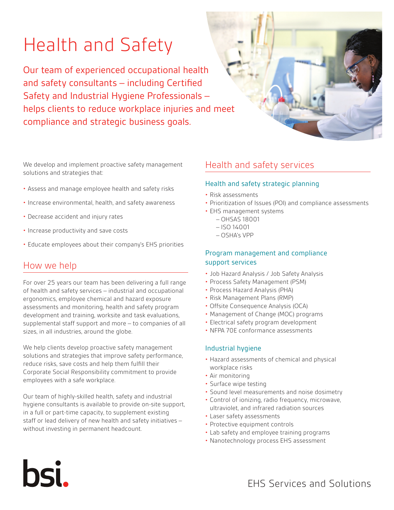# Health and Safety

Our team of experienced occupational health and safety consultants – including Certified Safety and Industrial Hygiene Professionals – helps clients to reduce workplace injuries and meet compliance and strategic business goals.

We develop and implement proactive safety management solutions and strategies that:

- Assess and manage employee health and safety risks
- Increase environmental, health, and safety awareness
- Decrease accident and injury rates
- Increase productivity and save costs
- Educate employees about their company's EHS priorities

## How we help

**bsi.** 

For over 25 years our team has been delivering a full range of health and safety services – industrial and occupational ergonomics, employee chemical and hazard exposure assessments and monitoring, health and safety program development and training, worksite and task evaluations, supplemental staff support and more – to companies of all sizes, in all industries, around the globe.

We help clients develop proactive safety management solutions and strategies that improve safety performance, reduce risks, save costs and help them fulfill their Corporate Social Responsibility commitment to provide employees with a safe workplace.

Our team of highly-skilled health, safety and industrial hygiene consultants is available to provide on-site support, in a full or part-time capacity, to supplement existing staff or lead delivery of new health and safety initiatives – without investing in permanent headcount.

# Health and safety services

#### Health and safety strategic planning

- Risk assessments
- Prioritization of Issues (POI) and compliance assessments
- EHS management systems
	- OHSAS 18001
	- ISO 14001
	- OSHA's VPP

#### Program management and compliance support services

- Job Hazard Analysis / Job Safety Analysis
- Process Safety Management (PSM)
- Process Hazard Analysis (PHA)
- Risk Management Plans (RMP)
- Offsite Consequence Analysis (OCA)
- Management of Change (MOC) programs
- Electrical safety program development
- NFPA 70E conformance assessments

#### Industrial hygiene

- Hazard assessments of chemical and physical workplace risks
- Air monitoring
- Surface wipe testing
- Sound level measurements and noise dosimetry
- Control of ionizing, radio frequency, microwave, ultraviolet, and infrared radiation sources
- Laser safety assessments
- Protective equipment controls
- Lab safety and employee training programs
- Nanotechnology process EHS assessment